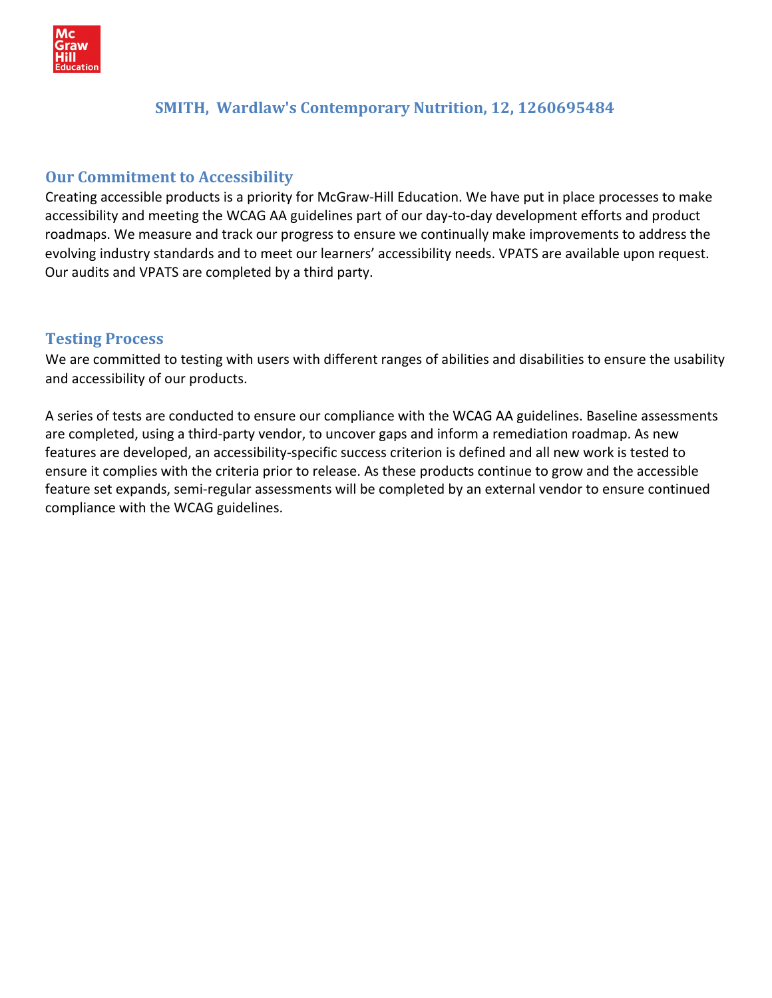

# **SMITH, Wardlaw's Contemporary Nutrition, 12, 1260695484**

# **Our Commitment to Accessibility**

Creating accessible products is a priority for McGraw‐Hill Education. We have put in place processes to make accessibility and meeting the WCAG AA guidelines part of our day‐to‐day development efforts and product roadmaps. We measure and track our progress to ensure we continually make improvements to address the evolving industry standards and to meet our learners' accessibility needs. VPATS are available upon request. Our audits and VPATS are completed by a third party.

### **Testing Process**

We are committed to testing with users with different ranges of abilities and disabilities to ensure the usability and accessibility of our products.

A series of tests are conducted to ensure our compliance with the WCAG AA guidelines. Baseline assessments are completed, using a third‐party vendor, to uncover gaps and inform a remediation roadmap. As new features are developed, an accessibility‐specific success criterion is defined and all new work is tested to ensure it complies with the criteria prior to release. As these products continue to grow and the accessible feature set expands, semi‐regular assessments will be completed by an external vendor to ensure continued compliance with the WCAG guidelines.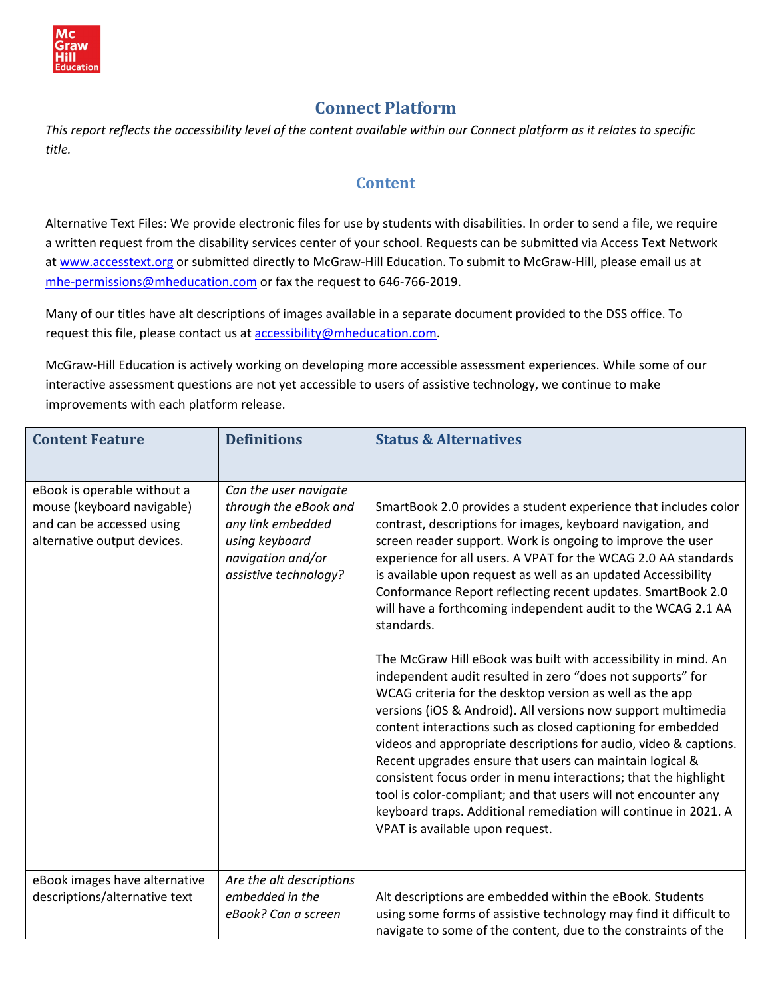

# **Connect Platform**

*This report reflects the accessibility level of the content available within our Connect platform as it relates to specific title.*

# **Content**

Alternative Text Files: We provide electronic files for use by students with disabilities. In order to send a file, we require a written request from the disability services center of your school. Requests can be submitted via Access Text Network at [www.accesstext.org](http://www.accesstext.org/) or submitted directly to McGraw-Hill Education. To submit to McGraw-Hill, please email us at mhe-permissions@mheducation.com or fax the request to 646-766-2019.

Many of our titles have alt descriptions of images available in a separate document provided to the DSS office. To request this file, please contact us at [accessibility@mheducation.com.](mailto:accessibility@mheducation.com)

McGraw‐Hill Education is actively working on developing more accessible assessment experiences. While some of our interactive assessment questions are not yet accessible to users of assistive technology, we continue to make improvements with each platform release.

| <b>Content Feature</b>                                                                                                | <b>Definitions</b>                                                                                                                  | <b>Status &amp; Alternatives</b>                                                                                                                                                                                                                                                                                                                                                                                                                                                                                                                                                                                                                                                                                                                                                                                                                                                                                                                                                                                                                                                                                                                                                    |
|-----------------------------------------------------------------------------------------------------------------------|-------------------------------------------------------------------------------------------------------------------------------------|-------------------------------------------------------------------------------------------------------------------------------------------------------------------------------------------------------------------------------------------------------------------------------------------------------------------------------------------------------------------------------------------------------------------------------------------------------------------------------------------------------------------------------------------------------------------------------------------------------------------------------------------------------------------------------------------------------------------------------------------------------------------------------------------------------------------------------------------------------------------------------------------------------------------------------------------------------------------------------------------------------------------------------------------------------------------------------------------------------------------------------------------------------------------------------------|
| eBook is operable without a<br>mouse (keyboard navigable)<br>and can be accessed using<br>alternative output devices. | Can the user navigate<br>through the eBook and<br>any link embedded<br>using keyboard<br>navigation and/or<br>assistive technology? | SmartBook 2.0 provides a student experience that includes color<br>contrast, descriptions for images, keyboard navigation, and<br>screen reader support. Work is ongoing to improve the user<br>experience for all users. A VPAT for the WCAG 2.0 AA standards<br>is available upon request as well as an updated Accessibility<br>Conformance Report reflecting recent updates. SmartBook 2.0<br>will have a forthcoming independent audit to the WCAG 2.1 AA<br>standards.<br>The McGraw Hill eBook was built with accessibility in mind. An<br>independent audit resulted in zero "does not supports" for<br>WCAG criteria for the desktop version as well as the app<br>versions (iOS & Android). All versions now support multimedia<br>content interactions such as closed captioning for embedded<br>videos and appropriate descriptions for audio, video & captions.<br>Recent upgrades ensure that users can maintain logical &<br>consistent focus order in menu interactions; that the highlight<br>tool is color-compliant; and that users will not encounter any<br>keyboard traps. Additional remediation will continue in 2021. A<br>VPAT is available upon request. |
| eBook images have alternative<br>descriptions/alternative text                                                        | Are the alt descriptions<br>embedded in the<br>eBook? Can a screen                                                                  | Alt descriptions are embedded within the eBook. Students<br>using some forms of assistive technology may find it difficult to<br>navigate to some of the content, due to the constraints of the                                                                                                                                                                                                                                                                                                                                                                                                                                                                                                                                                                                                                                                                                                                                                                                                                                                                                                                                                                                     |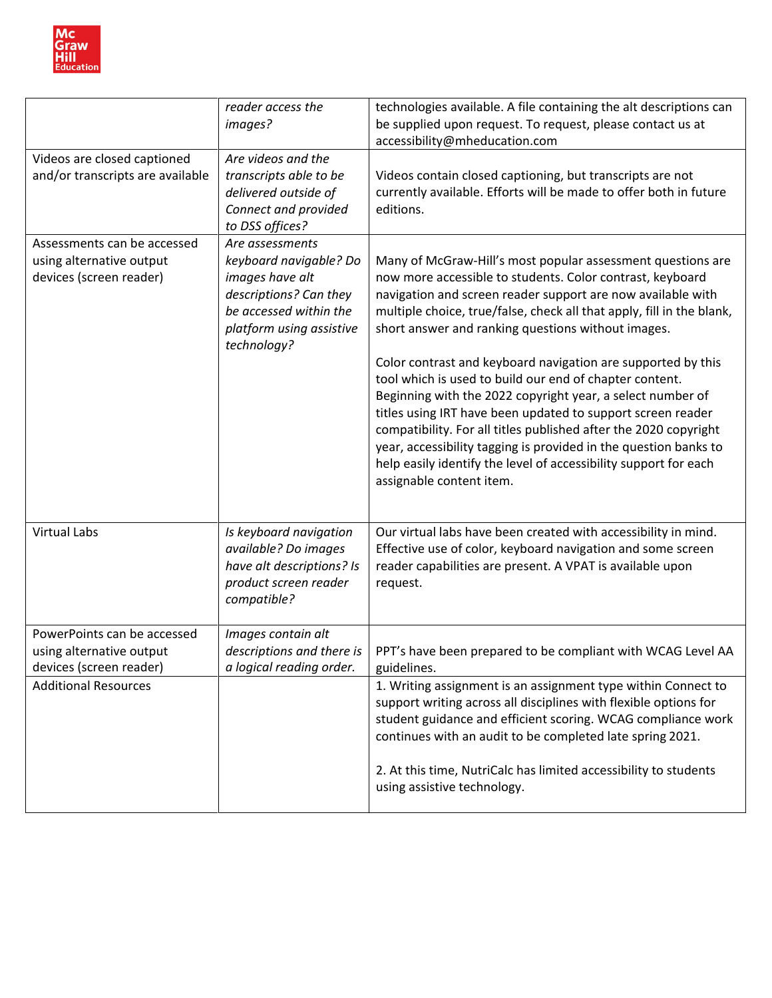

|                                                                                    | reader access the<br>images?                                                                                                                                | technologies available. A file containing the alt descriptions can<br>be supplied upon request. To request, please contact us at<br>accessibility@mheducation.com                                                                                                                                                                                                                                                                                                                                                                                                                                                                                                                                                                                                                                                      |
|------------------------------------------------------------------------------------|-------------------------------------------------------------------------------------------------------------------------------------------------------------|------------------------------------------------------------------------------------------------------------------------------------------------------------------------------------------------------------------------------------------------------------------------------------------------------------------------------------------------------------------------------------------------------------------------------------------------------------------------------------------------------------------------------------------------------------------------------------------------------------------------------------------------------------------------------------------------------------------------------------------------------------------------------------------------------------------------|
| Videos are closed captioned<br>and/or transcripts are available                    | Are videos and the<br>transcripts able to be<br>delivered outside of<br>Connect and provided<br>to DSS offices?                                             | Videos contain closed captioning, but transcripts are not<br>currently available. Efforts will be made to offer both in future<br>editions.                                                                                                                                                                                                                                                                                                                                                                                                                                                                                                                                                                                                                                                                            |
| Assessments can be accessed<br>using alternative output<br>devices (screen reader) | Are assessments<br>keyboard navigable? Do<br>images have alt<br>descriptions? Can they<br>be accessed within the<br>platform using assistive<br>technology? | Many of McGraw-Hill's most popular assessment questions are<br>now more accessible to students. Color contrast, keyboard<br>navigation and screen reader support are now available with<br>multiple choice, true/false, check all that apply, fill in the blank,<br>short answer and ranking questions without images.<br>Color contrast and keyboard navigation are supported by this<br>tool which is used to build our end of chapter content.<br>Beginning with the 2022 copyright year, a select number of<br>titles using IRT have been updated to support screen reader<br>compatibility. For all titles published after the 2020 copyright<br>year, accessibility tagging is provided in the question banks to<br>help easily identify the level of accessibility support for each<br>assignable content item. |
| <b>Virtual Labs</b>                                                                | Is keyboard navigation<br>available? Do images<br>have alt descriptions? Is<br>product screen reader<br>compatible?                                         | Our virtual labs have been created with accessibility in mind.<br>Effective use of color, keyboard navigation and some screen<br>reader capabilities are present. A VPAT is available upon<br>request.                                                                                                                                                                                                                                                                                                                                                                                                                                                                                                                                                                                                                 |
| PowerPoints can be accessed<br>using alternative output<br>devices (screen reader) | Images contain alt<br>descriptions and there is<br>a logical reading order.                                                                                 | PPT's have been prepared to be compliant with WCAG Level AA<br>guidelines.                                                                                                                                                                                                                                                                                                                                                                                                                                                                                                                                                                                                                                                                                                                                             |
| <b>Additional Resources</b>                                                        |                                                                                                                                                             | 1. Writing assignment is an assignment type within Connect to<br>support writing across all disciplines with flexible options for<br>student guidance and efficient scoring. WCAG compliance work<br>continues with an audit to be completed late spring 2021.                                                                                                                                                                                                                                                                                                                                                                                                                                                                                                                                                         |
|                                                                                    |                                                                                                                                                             | 2. At this time, NutriCalc has limited accessibility to students<br>using assistive technology.                                                                                                                                                                                                                                                                                                                                                                                                                                                                                                                                                                                                                                                                                                                        |